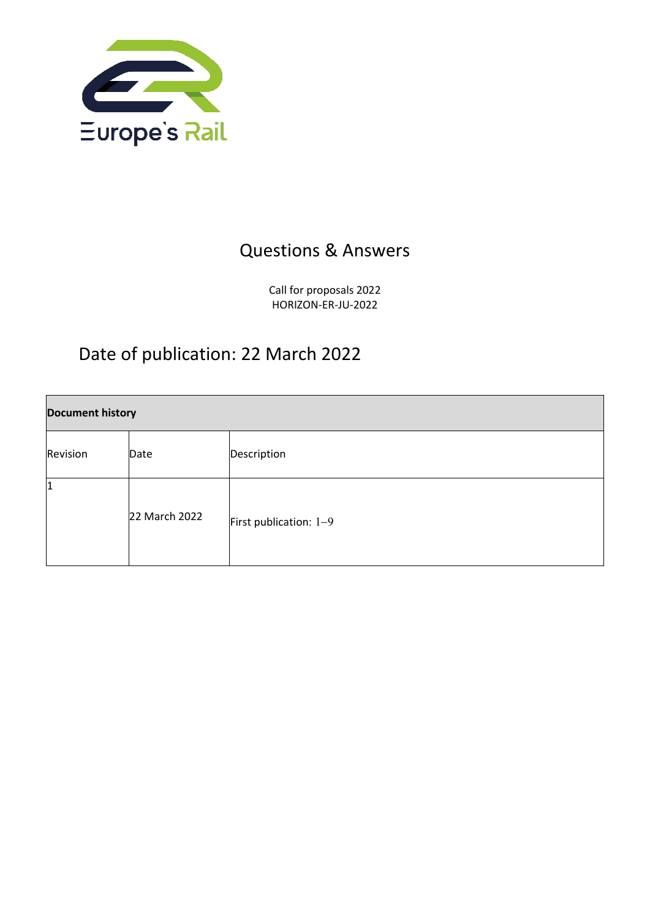

## Questions & Answers

Call for proposals 2022 HORIZON-ER-JU-2022

## Date of publication: 22 March 2022

| <b>Document history</b> |               |                        |  |
|-------------------------|---------------|------------------------|--|
| Revision                | Date          | Description            |  |
| 1                       | 22 March 2022 | First publication: 1-9 |  |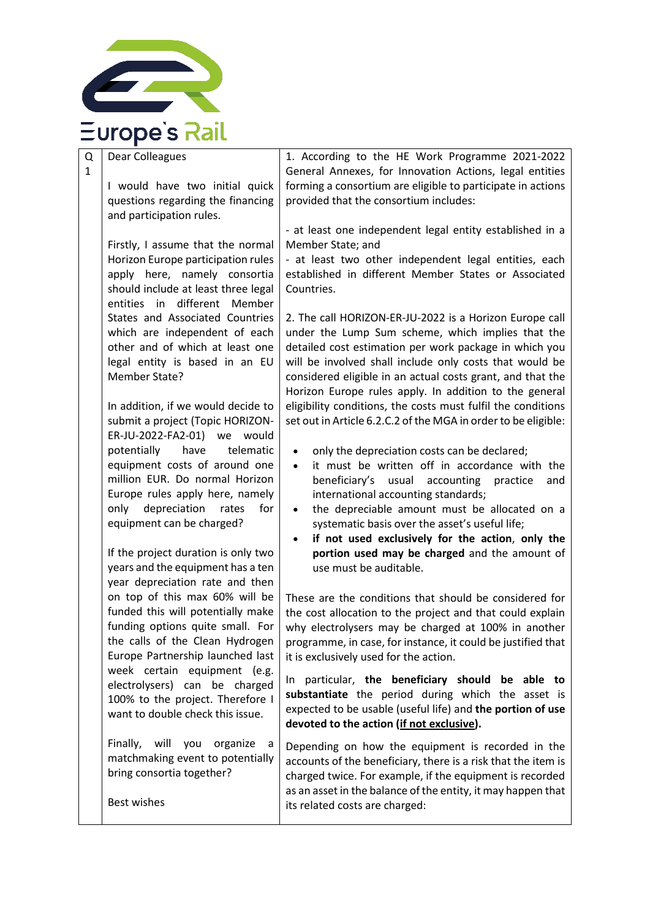

Q Dear Colleagues

1

I would have two initial quick questions regarding the financing and participation rules.

Firstly, I assume that the normal Horizon Europe participation rules apply here, namely consortia should include at least three legal entities in different Member States and Associated Countries which are independent of each other and of which at least one legal entity is based in an EU Member State?

In addition, if we would decide to submit a project (Topic HORIZON-ER-JU-2022-FA2-01) we would potentially have telematic equipment costs of around one million EUR. Do normal Horizon Europe rules apply here, namely only depreciation rates for equipment can be charged?

If the project duration is only two years and the equipment has a ten year depreciation rate and then on top of this max 60% will be funded this will potentially make funding options quite small. For the calls of the Clean Hydrogen Europe Partnership launched last week certain equipment (e.g. electrolysers) can be charged 100% to the project. Therefore I want to double check this issue.

Finally, will you organize a matchmaking event to potentially bring consortia together?

Best wishes

1. According to the HE Work Programme 2021-2022 General Annexes, for Innovation Actions, legal entities forming a consortium are eligible to participate in actions provided that the consortium includes:

- at least one independent legal entity established in a Member State; and

- at least two other independent legal entities, each established in different Member States or Associated Countries.

2. The call HORIZON-ER-JU-2022 is a Horizon Europe call under the Lump Sum scheme, which implies that the detailed cost estimation per work package in which you will be involved shall include only costs that would be considered eligible in an actual costs grant, and that the Horizon Europe rules apply. In addition to the general eligibility conditions, the costs must fulfil the conditions set out in Article 6.2.C.2 of the MGA in order to be eligible:

- only the depreciation costs can be declared;
- it must be written off in accordance with the beneficiary's usual accounting practice and international accounting standards;
- the depreciable amount must be allocated on a systematic basis over the asset's useful life;
- **if not used exclusively for the action**, **only the portion used may be charged** and the amount of use must be auditable.

These are the conditions that should be considered for the cost allocation to the project and that could explain why electrolysers may be charged at 100% in another programme, in case, for instance, it could be justified that it is exclusively used for the action.

In particular, **the beneficiary should be able to substantiate** the period during which the asset is expected to be usable (useful life) and **the portion of use devoted to the action (if not exclusive).**

Depending on how the equipment is recorded in the accounts of the beneficiary, there is a risk that the item is charged twice. For example, if the equipment is recorded as an asset in the balance of the entity, it may happen that its related costs are charged: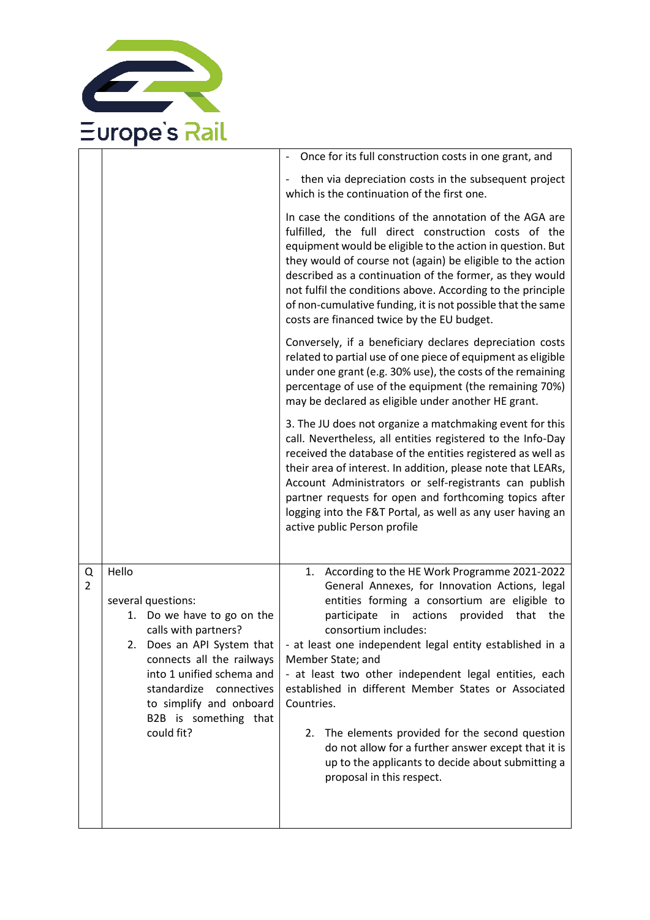

|                     |                                                                                                                                                                                                                                                                           | - Once for its full construction costs in one grant, and                                                                                                                                                                                                                                                                                                                                                                                                                                                                                                                                                                                           |
|---------------------|---------------------------------------------------------------------------------------------------------------------------------------------------------------------------------------------------------------------------------------------------------------------------|----------------------------------------------------------------------------------------------------------------------------------------------------------------------------------------------------------------------------------------------------------------------------------------------------------------------------------------------------------------------------------------------------------------------------------------------------------------------------------------------------------------------------------------------------------------------------------------------------------------------------------------------------|
|                     |                                                                                                                                                                                                                                                                           | then via depreciation costs in the subsequent project<br>$\overline{\phantom{a}}$<br>which is the continuation of the first one.                                                                                                                                                                                                                                                                                                                                                                                                                                                                                                                   |
|                     |                                                                                                                                                                                                                                                                           | In case the conditions of the annotation of the AGA are<br>fulfilled, the full direct construction costs of the<br>equipment would be eligible to the action in question. But<br>they would of course not (again) be eligible to the action<br>described as a continuation of the former, as they would<br>not fulfil the conditions above. According to the principle<br>of non-cumulative funding, it is not possible that the same<br>costs are financed twice by the EU budget.                                                                                                                                                                |
|                     |                                                                                                                                                                                                                                                                           | Conversely, if a beneficiary declares depreciation costs<br>related to partial use of one piece of equipment as eligible<br>under one grant (e.g. 30% use), the costs of the remaining<br>percentage of use of the equipment (the remaining 70%)<br>may be declared as eligible under another HE grant.                                                                                                                                                                                                                                                                                                                                            |
|                     |                                                                                                                                                                                                                                                                           | 3. The JU does not organize a matchmaking event for this<br>call. Nevertheless, all entities registered to the Info-Day<br>received the database of the entities registered as well as<br>their area of interest. In addition, please note that LEARs,<br>Account Administrators or self-registrants can publish<br>partner requests for open and forthcoming topics after<br>logging into the F&T Portal, as well as any user having an<br>active public Person profile                                                                                                                                                                           |
| Q<br>$\overline{2}$ | Hello<br>several questions:<br>1. Do we have to go on the<br>calls with partners?<br>Does an API System that<br>2.<br>connects all the railways<br>into 1 unified schema and<br>standardize connectives<br>to simplify and onboard<br>B2B is something that<br>could fit? | According to the HE Work Programme 2021-2022<br>1.<br>General Annexes, for Innovation Actions, legal<br>entities forming a consortium are eligible to<br>in actions<br>participate<br>provided<br>that<br>the<br>consortium includes:<br>- at least one independent legal entity established in a<br>Member State; and<br>- at least two other independent legal entities, each<br>established in different Member States or Associated<br>Countries.<br>2. The elements provided for the second question<br>do not allow for a further answer except that it is<br>up to the applicants to decide about submitting a<br>proposal in this respect. |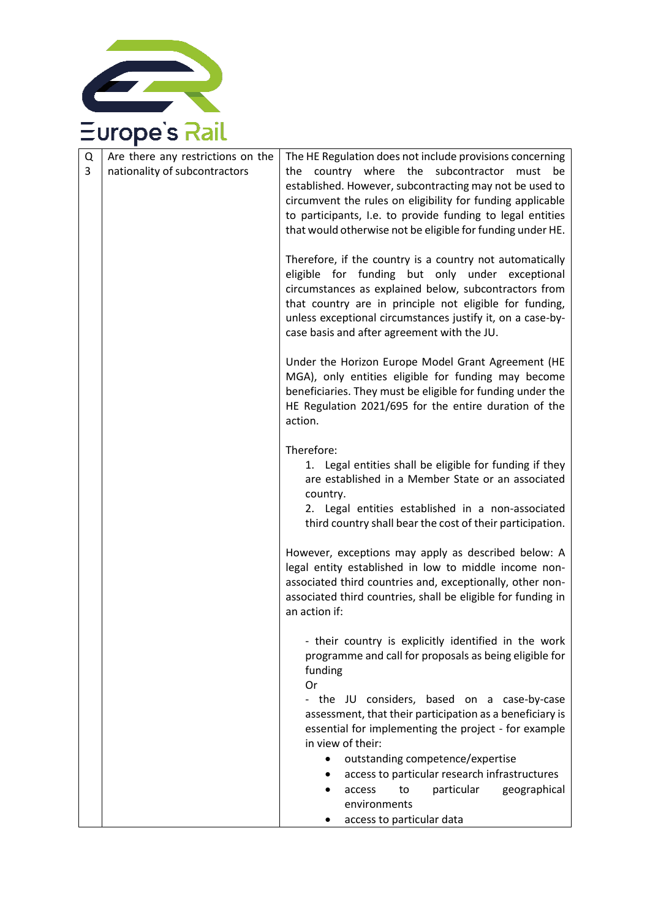

| Q<br>3 | Are there any restrictions on the<br>nationality of subcontractors | The HE Regulation does not include provisions concerning<br>country where the<br>subcontractor<br>the<br>must<br>be<br>established. However, subcontracting may not be used to<br>circumvent the rules on eligibility for funding applicable<br>to participants, I.e. to provide funding to legal entities<br>that would otherwise not be eligible for funding under HE. |
|--------|--------------------------------------------------------------------|--------------------------------------------------------------------------------------------------------------------------------------------------------------------------------------------------------------------------------------------------------------------------------------------------------------------------------------------------------------------------|
|        |                                                                    | Therefore, if the country is a country not automatically<br>eligible for funding but only under exceptional<br>circumstances as explained below, subcontractors from<br>that country are in principle not eligible for funding,<br>unless exceptional circumstances justify it, on a case-by-<br>case basis and after agreement with the JU.                             |
|        |                                                                    | Under the Horizon Europe Model Grant Agreement (HE<br>MGA), only entities eligible for funding may become<br>beneficiaries. They must be eligible for funding under the<br>HE Regulation 2021/695 for the entire duration of the<br>action.                                                                                                                              |
|        |                                                                    | Therefore:<br>1. Legal entities shall be eligible for funding if they<br>are established in a Member State or an associated<br>country.<br>2. Legal entities established in a non-associated<br>third country shall bear the cost of their participation.                                                                                                                |
|        |                                                                    | However, exceptions may apply as described below: A<br>legal entity established in low to middle income non-<br>associated third countries and, exceptionally, other non-<br>associated third countries, shall be eligible for funding in<br>an action if:                                                                                                               |
|        |                                                                    | - their country is explicitly identified in the work<br>programme and call for proposals as being eligible for<br>funding<br>0r                                                                                                                                                                                                                                          |
|        |                                                                    | - the JU considers, based on a case-by-case<br>assessment, that their participation as a beneficiary is<br>essential for implementing the project - for example<br>in view of their:                                                                                                                                                                                     |
|        |                                                                    | outstanding competence/expertise<br>access to particular research infrastructures                                                                                                                                                                                                                                                                                        |
|        |                                                                    | particular<br>geographical<br>to<br>access<br>environments                                                                                                                                                                                                                                                                                                               |
|        |                                                                    | access to particular data                                                                                                                                                                                                                                                                                                                                                |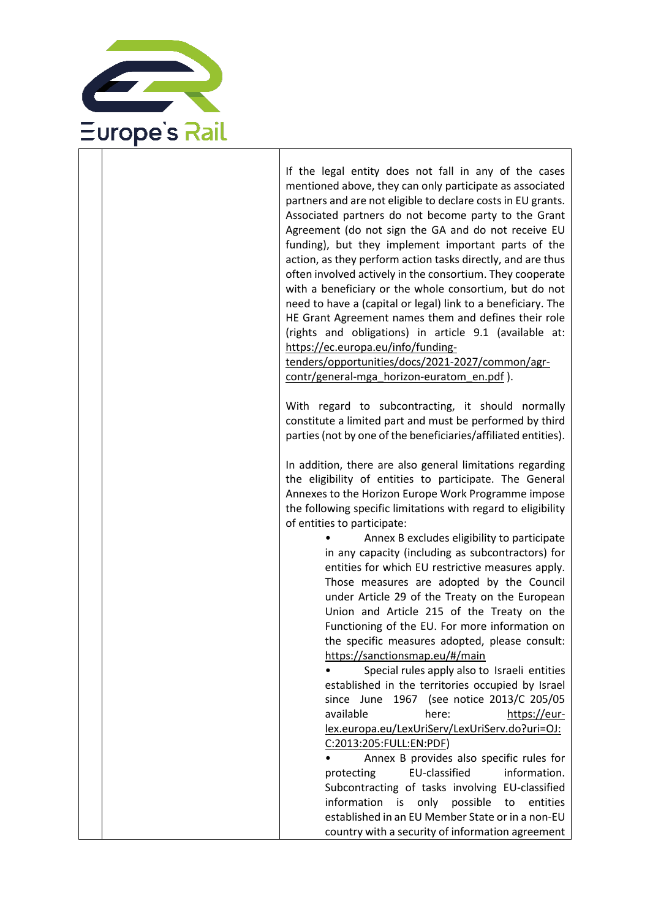

If the legal entity does not fall in any of the cases mentioned above, they can only participate as associated partners and are not eligible to declare costs in EU grants. Associated partners do not become party to the Grant Agreement (do not sign the GA and do not receive EU funding), but they implement important parts of the action, as they perform action tasks directly, and are thus often involved actively in the consortium. They cooperate with a beneficiary or the whole consortium, but do not need to have a (capital or legal) link to a beneficiary. The HE Grant Agreement names them and defines their role (rights and obligations) in article 9.1 (available at: [https://ec.europa.eu/info/funding-](https://ec.europa.eu/info/funding-tenders/opportunities/docs/2021-2027/common/agr-contr/general-mga_horizon-euratom_en.pdf)

[tenders/opportunities/docs/2021-2027/common/agr](https://ec.europa.eu/info/funding-tenders/opportunities/docs/2021-2027/common/agr-contr/general-mga_horizon-euratom_en.pdf)[contr/general-mga\\_horizon-euratom\\_en.pdf](https://ec.europa.eu/info/funding-tenders/opportunities/docs/2021-2027/common/agr-contr/general-mga_horizon-euratom_en.pdf) ).

With regard to subcontracting, it should normally constitute a limited part and must be performed by third parties (not by one of the beneficiaries/affiliated entities).

In addition, there are also general limitations regarding the eligibility of entities to participate. The General Annexes to the Horizon Europe Work Programme impose the following specific limitations with regard to eligibility of entities to participate:

> • Annex B excludes eligibility to participate in any capacity (including as subcontractors) for entities for which EU restrictive measures apply. Those measures are adopted by the Council under Article 29 of the Treaty on the European Union and Article 215 of the Treaty on the Functioning of the EU. For more information on the specific measures adopted, please consult: <https://sanctionsmap.eu/#/main>

• Special rules apply also to Israeli entities established in the territories occupied by Israel since June 1967 (see notice 2013/C 205/05 available here: [https://eur](https://eur-lex.europa.eu/LexUriServ/LexUriServ.do?uri=OJ:C:2013:205:FULL:EN:PDF)[lex.europa.eu/LexUriServ/LexUriServ.do?uri=OJ:](https://eur-lex.europa.eu/LexUriServ/LexUriServ.do?uri=OJ:C:2013:205:FULL:EN:PDF) [C:2013:205:FULL:EN:PDF\)](https://eur-lex.europa.eu/LexUriServ/LexUriServ.do?uri=OJ:C:2013:205:FULL:EN:PDF)

• Annex B provides also specific rules for protecting EU-classified information. Subcontracting of tasks involving EU-classified information is only possible to entities established in an EU Member State or in a non-EU country with a security of information agreement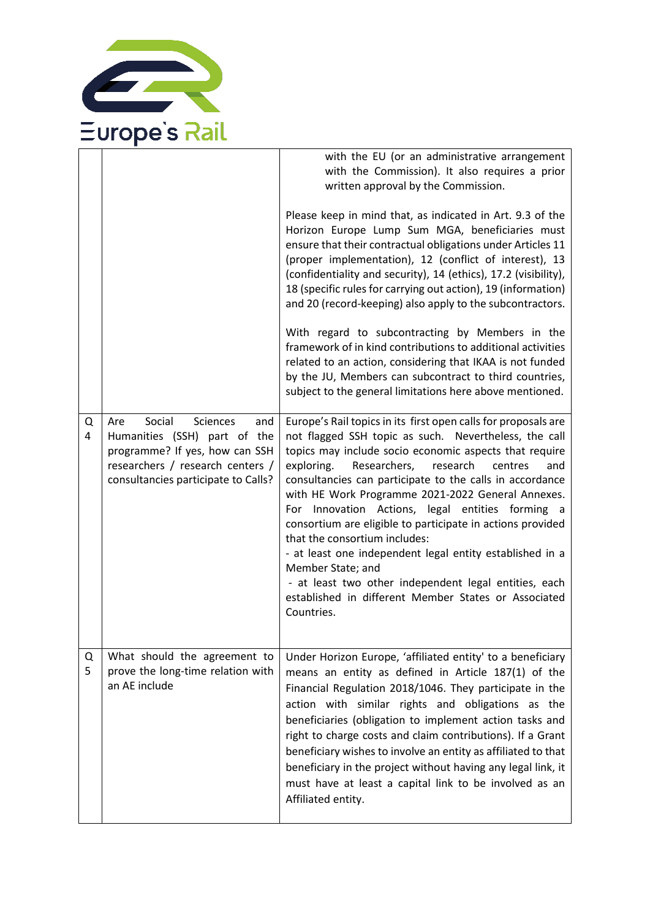

|        |                                                                                                                                                                                      | with the EU (or an administrative arrangement<br>with the Commission). It also requires a prior<br>written approval by the Commission.<br>Please keep in mind that, as indicated in Art. 9.3 of the<br>Horizon Europe Lump Sum MGA, beneficiaries must<br>ensure that their contractual obligations under Articles 11<br>(proper implementation), 12 (conflict of interest), 13<br>(confidentiality and security), 14 (ethics), 17.2 (visibility),<br>18 (specific rules for carrying out action), 19 (information)<br>and 20 (record-keeping) also apply to the subcontractors.<br>With regard to subcontracting by Members in the<br>framework of in kind contributions to additional activities<br>related to an action, considering that IKAA is not funded<br>by the JU, Members can subcontract to third countries,<br>subject to the general limitations here above mentioned. |
|--------|--------------------------------------------------------------------------------------------------------------------------------------------------------------------------------------|---------------------------------------------------------------------------------------------------------------------------------------------------------------------------------------------------------------------------------------------------------------------------------------------------------------------------------------------------------------------------------------------------------------------------------------------------------------------------------------------------------------------------------------------------------------------------------------------------------------------------------------------------------------------------------------------------------------------------------------------------------------------------------------------------------------------------------------------------------------------------------------|
| Q<br>4 | Social<br><b>Sciences</b><br>Are<br>and<br>Humanities (SSH) part of the<br>programme? If yes, how can SSH<br>researchers / research centers /<br>consultancies participate to Calls? | Europe's Rail topics in its first open calls for proposals are<br>not flagged SSH topic as such. Nevertheless, the call<br>topics may include socio economic aspects that require<br>exploring.<br>Researchers,<br>research<br>centres<br>and<br>consultancies can participate to the calls in accordance<br>with HE Work Programme 2021-2022 General Annexes.<br>For Innovation Actions, legal entities forming a<br>consortium are eligible to participate in actions provided<br>that the consortium includes:<br>- at least one independent legal entity established in a<br>Member State; and<br>- at least two other independent legal entities, each<br>established in different Member States or Associated<br>Countries.                                                                                                                                                     |
| Q<br>5 | What should the agreement to<br>prove the long-time relation with<br>an AE include                                                                                                   | Under Horizon Europe, 'affiliated entity' to a beneficiary<br>means an entity as defined in Article 187(1) of the<br>Financial Regulation 2018/1046. They participate in the<br>action with similar rights and obligations as the<br>beneficiaries (obligation to implement action tasks and<br>right to charge costs and claim contributions). If a Grant<br>beneficiary wishes to involve an entity as affiliated to that<br>beneficiary in the project without having any legal link, it<br>must have at least a capital link to be involved as an<br>Affiliated entity.                                                                                                                                                                                                                                                                                                           |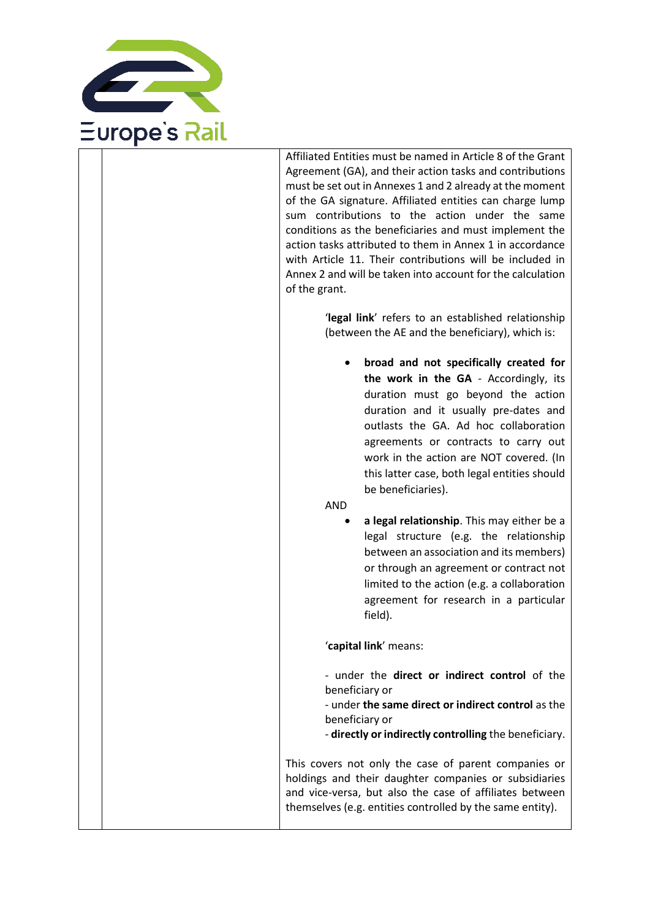

Affiliated Entities must be named in Article 8 of the Grant Agreement (GA), and their action tasks and contributions must be set out in Annexes 1 and 2 already at the moment of the GA signature. Affiliated entities can charge lump sum contributions to the action under the same conditions as the beneficiaries and must implement the action tasks attributed to them in Annex 1 in accordance with Article 11. Their contributions will be included in Annex 2 and will be taken into account for the calculation of the grant.

> '**legal link**' refers to an established relationship (between the AE and the beneficiary), which is:

• **broad and not specifically created for the work in the GA** - Accordingly, its duration must go beyond the action duration and it usually pre-dates and outlasts the GA. Ad hoc collaboration agreements or contracts to carry out work in the action are NOT covered. (In this latter case, both legal entities should be beneficiaries).

AND

• **a legal relationship**. This may either be a legal structure (e.g. the relationship between an association and its members) or through an agreement or contract not limited to the action (e.g. a collaboration agreement for research in a particular field).

'**capital link**' means:

- under the **direct or indirect control** of the beneficiary or

- under **the same direct or indirect control** as the beneficiary or

- **directly or indirectly controlling** the beneficiary.

This covers not only the case of parent companies or holdings and their daughter companies or subsidiaries and vice-versa, but also the case of affiliates between themselves (e.g. entities controlled by the same entity).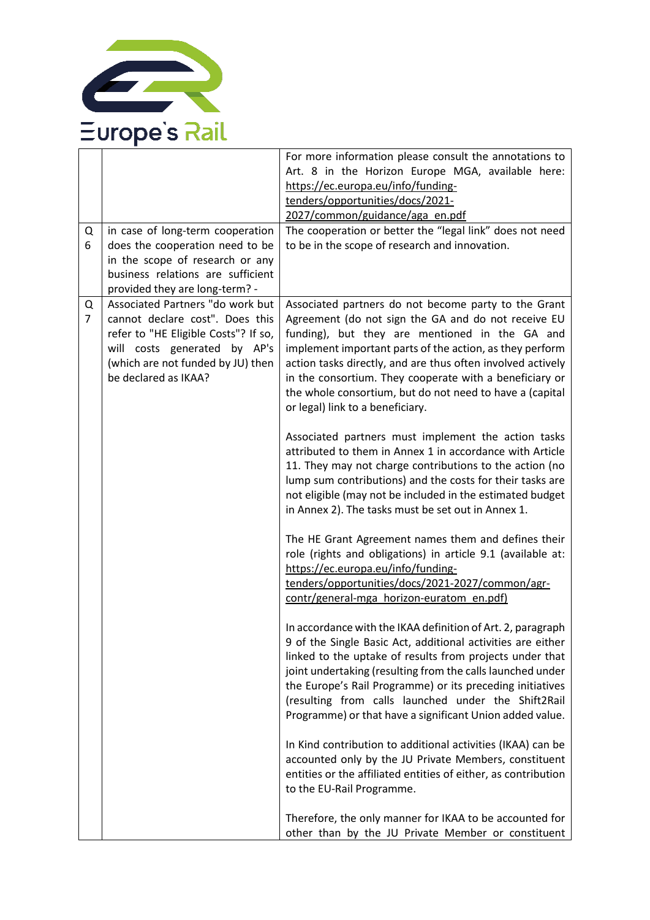

|                |                                                           | For more information please consult the annotations to<br>Art. 8 in the Horizon Europe MGA, available here:         |
|----------------|-----------------------------------------------------------|---------------------------------------------------------------------------------------------------------------------|
|                |                                                           | https://ec.europa.eu/info/funding-                                                                                  |
|                |                                                           | tenders/opportunities/docs/2021-                                                                                    |
|                |                                                           | 2027/common/guidance/aga_en.pdf                                                                                     |
| Q              | in case of long-term cooperation                          | The cooperation or better the "legal link" does not need                                                            |
| 6              | does the cooperation need to be                           | to be in the scope of research and innovation.                                                                      |
|                | in the scope of research or any                           |                                                                                                                     |
|                | business relations are sufficient                         |                                                                                                                     |
|                | provided they are long-term? -                            |                                                                                                                     |
| Q              | Associated Partners "do work but                          | Associated partners do not become party to the Grant                                                                |
| $\overline{7}$ | cannot declare cost". Does this                           | Agreement (do not sign the GA and do not receive EU                                                                 |
|                | refer to "HE Eligible Costs"? If so,                      | funding), but they are mentioned in the GA and                                                                      |
|                | will costs generated by AP's                              | implement important parts of the action, as they perform                                                            |
|                | (which are not funded by JU) then<br>be declared as IKAA? | action tasks directly, and are thus often involved actively                                                         |
|                |                                                           | in the consortium. They cooperate with a beneficiary or<br>the whole consortium, but do not need to have a (capital |
|                |                                                           | or legal) link to a beneficiary.                                                                                    |
|                |                                                           |                                                                                                                     |
|                |                                                           | Associated partners must implement the action tasks                                                                 |
|                |                                                           | attributed to them in Annex 1 in accordance with Article                                                            |
|                |                                                           | 11. They may not charge contributions to the action (no                                                             |
|                |                                                           | lump sum contributions) and the costs for their tasks are                                                           |
|                |                                                           | not eligible (may not be included in the estimated budget                                                           |
|                |                                                           | in Annex 2). The tasks must be set out in Annex 1.                                                                  |
|                |                                                           | The HE Grant Agreement names them and defines their                                                                 |
|                |                                                           | role (rights and obligations) in article 9.1 (available at:                                                         |
|                |                                                           | https://ec.europa.eu/info/funding-                                                                                  |
|                |                                                           | tenders/opportunities/docs/2021-2027/common/agr-                                                                    |
|                |                                                           | contr/general-mga horizon-euratom en.pdf)                                                                           |
|                |                                                           |                                                                                                                     |
|                |                                                           | In accordance with the IKAA definition of Art. 2, paragraph                                                         |
|                |                                                           | 9 of the Single Basic Act, additional activities are either                                                         |
|                |                                                           | linked to the uptake of results from projects under that                                                            |
|                |                                                           | joint undertaking (resulting from the calls launched under                                                          |
|                |                                                           | the Europe's Rail Programme) or its preceding initiatives                                                           |
|                |                                                           | (resulting from calls launched under the Shift2Rail                                                                 |
|                |                                                           | Programme) or that have a significant Union added value.                                                            |
|                |                                                           |                                                                                                                     |
|                |                                                           | In Kind contribution to additional activities (IKAA) can be                                                         |
|                |                                                           | accounted only by the JU Private Members, constituent                                                               |
|                |                                                           | entities or the affiliated entities of either, as contribution                                                      |
|                |                                                           | to the EU-Rail Programme.                                                                                           |
|                |                                                           | Therefore, the only manner for IKAA to be accounted for                                                             |
|                |                                                           | other than by the JU Private Member or constituent                                                                  |